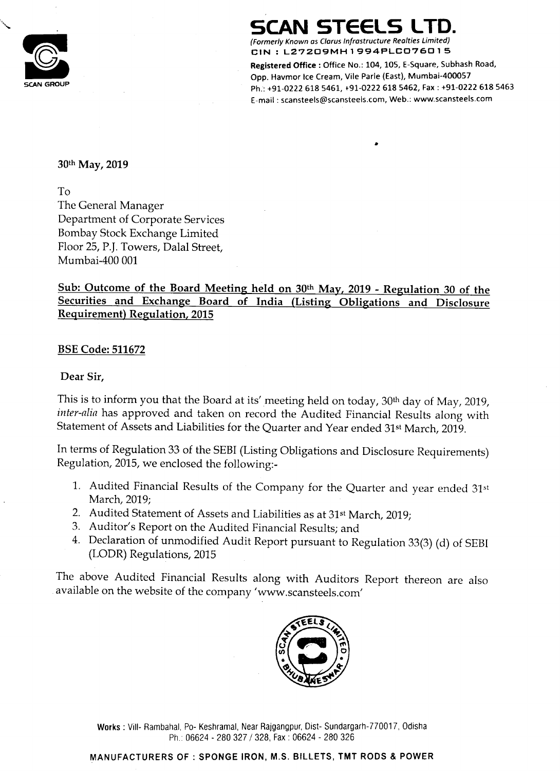$\bigodot$ SCAN GROUP **SCAN GROUP** 

## SCAN STEELS LTD.

(Formerly Known as Clarus Infrastructure Realties Limited) CIN : L27209MH1994PLCO76015

Registered Office : Office No.: 104, 105, E-Square, Subhash Road, Opp. Havmor Ice Cream, Vile Parle (East), Mumbai-4000S7 Ph.': +91-0222 618 5461, +91—0222 618 5462, Fax ; +91—0222 618 5463 E—mail : scansteels@scansteels.com, Web.: www.5cansteels.com

Sub: Outcome of the Board Meeting held on 30th May, 2019 - Regulation <sup>30</sup> of the Securities and Exchange Board of India (Listing Obligations and Disclosure Requirement) Regulation, 2015

30th May, 2019

The General Manager Department of Corporate Services Bombay Stock Exchange Limited Floor 25, P.]. Towers, Dalal Street, Mumbai-400 001

BSE Code: 511672

Dear Sir,

This is to inform you that the Board at its' meeting held on today, 30<sup>th</sup> day of May, 2019, inter-alia has approved and taken on record the Audited Financial Results along with Statement of Assets and Liabilities for the Quarter and Year ended 31st March, 2019.

#### Works : Vill- Rambahal, Po- Keshramal, Near Rajgangpur, Dist- Sundargarh-770017, Odisha Ph.: 06624 - 280 327/ 328, Fax: 06624 - 280 326

In terms of Regulation <sup>33</sup> of the SEBI (Listing Obligations and Disclosure Requirements) Regulation, 2015, we enclosed the following:-

- 1. Audited Financial Results of the Company for the Quarter and year ended 31st March, 2019;
- 2. Audited Statement of Assets and Liabilities as at 31<sup>st</sup> March, 2019;
- 3. Auditor's Report on the Audited Financial Results; and
- 4. Declaration of unmodified Audit Report pursuant to Regulation 33(3) (d) of SEBI (LODR) Regulations, 2015

The above Audited Financial Results along with Auditors Report thereon are also available on the website of the company 'www.scansteels.com'



#### MANUFACTURERS OF : SPONGE IRON, M.S. BILLETS, TMT RODS & POWER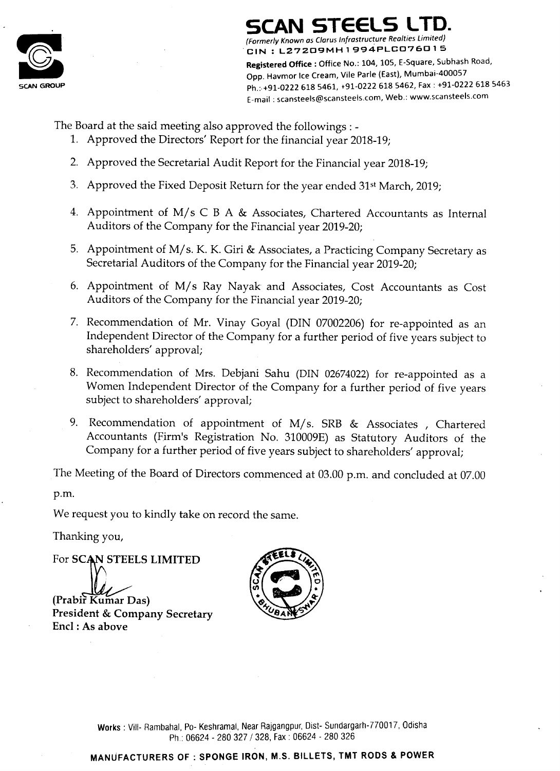

 $\sim$ 

# SCAN STEELS LTD.

(Formerly Known as Clarus Infrastructure Realties Limited)  $C$ CIN : L27209MH1994PLC076015

Registered Office : Office No.: 104, 105, E-Square, Subhash Road, Opp. Havmor Ice Cream, Vile Parle (East), Mumbai-4000S7 Ph.: +91-0222 618 5461, +91-0222 618 5462, Fax : +91-0222 618 5463 E—mail : scanstee|s@scanstee|s.com, Web.: www.5cansteels.com

The Board at the said meeting also approved the followings : -

Recommendation of appointment of M/s. SRB & Associates , Chartered Accountants (Firm's Registration No. 310009E) as Statutory Auditors of the Company for <sup>a</sup> further period of five years subject to shareholders' approval;

The Meeting of the Board of Directors commenced at 03.00 p.m. and concluded at 07.00 p.m.

- 1. Approved the Directors' Report for the financial year 2018-19;
- 2. Approved the Secretarial Audit Report for the Financial year 2018-19;
- 3. Approved the Fixed Deposit Return for the year ended 31st March, 2019;
- 4. Appointment of M/s C <sup>B</sup> A & Associates, Chartered Accountants as Internal Auditors of the Company for the Financial year 2019-20;
- Appointment of M/s. K. K. Giri & Associates, a Practicing Company Secretary as Secretarial Auditors of the Company for the Financial year 2019-20;
- Appointment of M/s Ray Nayak' and Associates, Cost Accountants as Cost Auditors of the Company for the Financial year 2019-20;
- Recommendation of Mr. Vinay Goyal (DIN 07002206) for re-appointed as an Independent Director of the Company for <sup>a</sup> further period of five years subject to shareholders' approval;
- Recommendation of Mrs. Debjani Sahu (DIN 02674022) for re-appointed as a Women Independent Director of the Company for <sup>a</sup> further period of five years

### President & Company Secretary Encl : As above

Works : Vill- Rambahal, Po- Keshramal, Near Rajgangpur, Dist- Sundargarh-770017, Odisha Ph.: 06624 - 280 327 / 328, Fax : 06624 - 280 326

subject to shareholders' approval;

We request you to kindly take on record the same.

Thanking you,







### MANUFACTURERS OF : SPONGE IRON, M.S. BILLETS, TMT RODS 8. POWER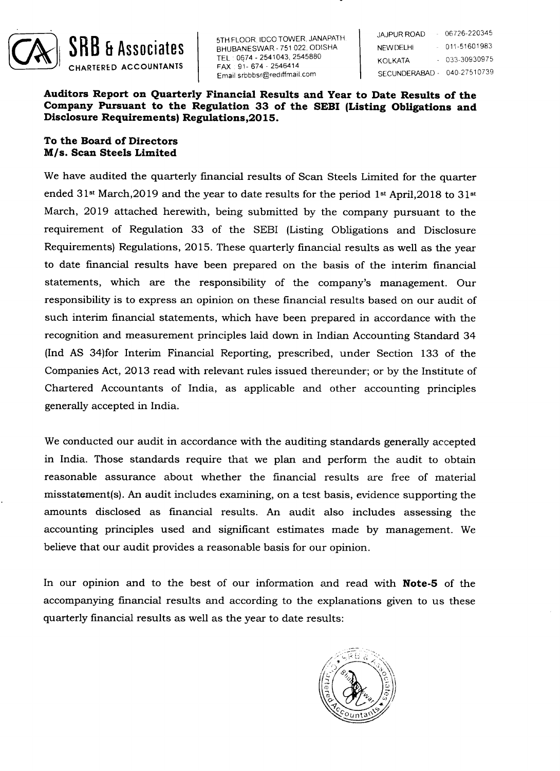

5TH FLOOR, IDCO TOWER, JANAPATH.<br>BHUBANESWAR - 751 022, ODISHA  $TEL:0674$ - 2541043, 2545880 . 2545414 Email:srbbbsr@rediffmail.com

 $-06726 - 220345$ **JAJPUR ROAD**  $0.11 - 51601983$ KOLKATA  $-033-30930975$ - 040-27510739

Auditors Report on Quarterly Financial Results and Year to Date Results of the Company Pursuant to the Regulation 33 of the SEBI (Listing Obligations and Disclosure Requirements) Regulations,2015.

#### To the Board of Directors M/s. Scan Steels Limited

We have audited the quarterly financial results of Scan Steels Limited for the quarter ended 31st March,2019 and the year to date results for the period lst April,2018 to 31st March, 2019 attached herewith, being submitted by the company pursuant to the requirement of Regulation 33 of the SEBI (Listing Obligations and Disclosure Requirements) Regulations, 2015. These quarterly financial results as well as the year to date financial results have been prepared on the basis of the interim financial statements, which are the responsibility of the company's management. Our responsibility is to express an opinion on these financial results based on our audit of such interim financial statements, which have been prepared in accordance with the recognition and measurement principles laid down in Indian Accounting Standard 34 (Ind AS 34)for Interim Financial Reporting, prescribed, under Section 133 of the Companies Act, 2013 read with relevant rules issued thereunder; or by the Institute of Chartered Accountants of India, as applicable and other accounting principles

We conducted our audit in accordance with the auditing standards generally accepted in India. Those standards require that we plan and perform the audit to obtain reasonable assurance about whether the financial results are free of material misstatement(s). An audit includes examining, on a test basis, evidence supporting the amounts disclosed as financial results. An audit also includes assessing the accounting principles used and significant estimates made by management. We believe that our audit provides <sup>a</sup> reasonable basis for our opinion.

In our opinion and to the best of our information and read with **Note-5** of the

accompanying financial results and according to the explanations given to us these quarterly financial results as well as the year to date results:

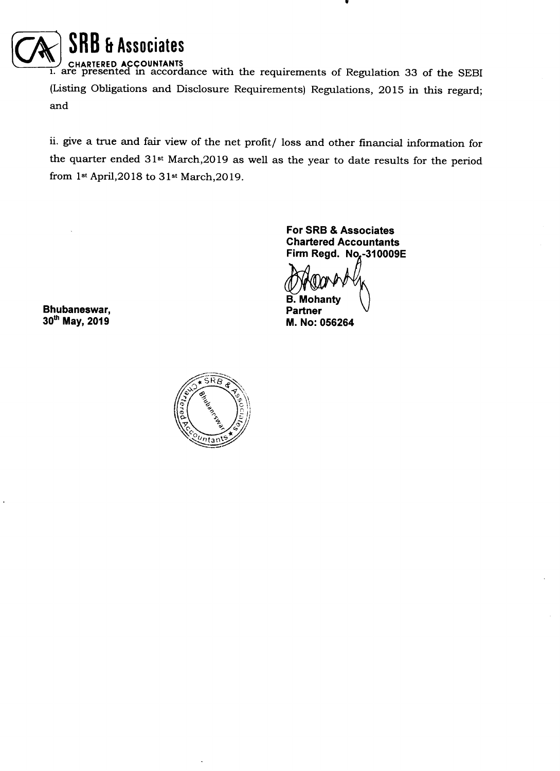

1. are presented in accordance with the requirements of Regulation 33 of the SEBI (Listing Obligations and Disclosure Requirements) Regulations, 2015 in this regard; and

> For SRB & Associates Chartered Accountants Firm Regd. No.-310009E B. Mohanty<br>Partner **M. No: 056264**



ii. give <sup>a</sup> true and fair View of the net profit/ loss and other financial information for the quarter ended 31st March,2019 as well as the year to date results for the period from 13t April,2018 to 31st March,2019.

Bhubaneswar,<br>30<sup>th</sup> May, 2019

 $\bullet$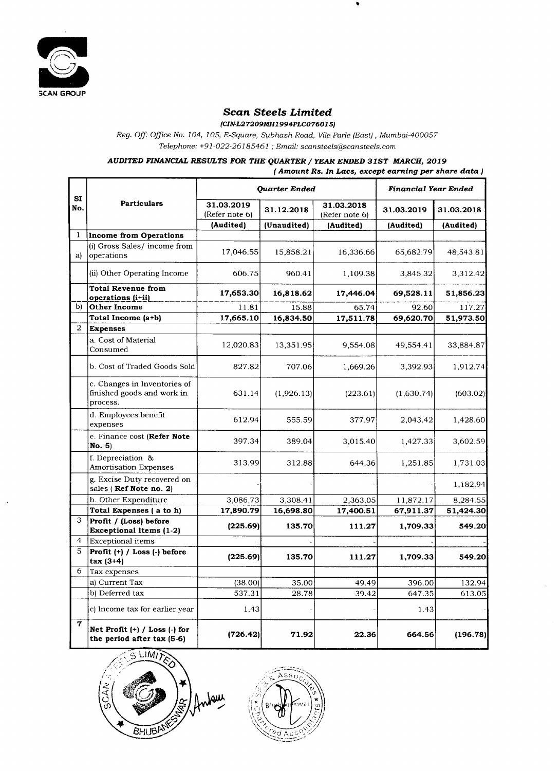

 $\mathbf{r}$  .

 $\sim$ 

#### Scan Steels Limited

(CIN-L27209MH1 994PLC07601 5)

Reg. Off: Office No. 104, 105, E—Square, Subhash Road, Vile Parle (East), Mumbai—400057

Telephone: +91-022-26185461 ; Email: scansteels@scansteels.com

AUDITED FINANCIAL RESULTS FOR THE QUARTER / YEAR ENDED 318T MARCH, <sup>2019</sup>

( Amount Rs. In Lacs, except earning per share data )

 $\sim 10^{11}$  m  $^{-1}$ 

 $\sim 10^{-11}$ 

|                             | Quarter Ended | Financial Year Ended |
|-----------------------------|---------------|----------------------|
|                             |               |                      |
| $\sim$ $\sim$ $\sim$ $\sim$ |               |                      |

| SI<br>No.      | <b>Particulars</b>                                                                 | 31.03.2019<br>(Refer note 6) | 31.12.2018  | 31.03.2018<br>(Refer note 6) | 31.03.2019 | 31.03.2018 |
|----------------|------------------------------------------------------------------------------------|------------------------------|-------------|------------------------------|------------|------------|
|                |                                                                                    | (Audited)                    | (Unaudited) | (Audited)                    | (Audited)  | (Audited)  |
|                | Income from Operations                                                             |                              |             |                              |            |            |
| a)             | $(i)$ Gross Sales/ income from<br>operations                                       | 17,046.55                    | 15,858.21   | 16,336.66                    | 65,682.79  | 48,543.81  |
|                | $\left  \text{(ii)} \text{ Other Operating Income} \right $                        | 606.75                       | 960.41      | 1,109.38                     | 3,845.32   | 3,312.42   |
|                | Total Revenue from<br><b>Operations</b> (i+ii)                                     | 17,653.30                    | 16,818.62   | 17,446.04                    | 69,528.11  | 51,856.23  |
| $\mathbf{b}$   | Other Income                                                                       | 11.81                        | 15.88       | 65.74                        | 92.60      | 117.27     |
|                | Total Income (a+b)                                                                 | 17,665.10                    | 16,834.50   | 17,511.78                    | 69,620.70  | 51,973.50  |
| 2              | <b>Expenses</b>                                                                    |                              |             |                              |            |            |
|                | a. Cost of Material<br>Consumed                                                    | 12,020.83                    | 13,351.95   | 9,554.08                     | 49,554.41  | 33,884.87  |
|                | b. Cost of Traded Goods Sold                                                       | 827.82                       | 707.06      | 1,669.26                     | 3,392.93   | 1,912.74   |
|                | $ c.$ Changes in Inventories of<br>finished goods and work in<br>process.          | 631.14                       | (1,926.13)  | (223.61)                     | (1,630.74) | (603.02)   |
|                | d. Employees benefit<br>expenses                                                   | 612.94                       | 555.59      | 377.97                       | 2,043.42   | 1,428.60   |
|                | $ e$ . Finance cost ( <b>Refer Note</b> )<br> No. 5                                | 397.34                       | 389.04      | 3,015.40                     | 1,427.33   | 3,602.59   |
|                | f. Depreciation &<br><b>Amortisation Expenses</b>                                  | 313.99                       | 312.88      | 644.36                       | 1,251.85   | 1,731.03   |
|                | g. Excise Duty recovered on<br>sales (Ref Note no. 2)                              |                              |             |                              |            | 1,182.94   |
|                | h. Other Expenditure                                                               | 3,086.73                     | 3,308.41    | 2,363.05                     | 11,872.17  | 8,284.55   |
|                | Total Expenses (a to h)                                                            | 17,890.79                    | 16,698.80   | 17,400.51                    | 67,911.37  | 51,424.30  |
| $\mathcal{S}$  | <b>Profit</b> / (Loss) before<br><b>Exceptional Items (1-2)</b>                    | (225.69)                     | 135.70      | 111.27                       | 1,709.33   | 549.20     |
| $\overline{4}$ | <b>Exceptional items</b>                                                           |                              |             |                              |            |            |
| $\overline{5}$ | $ Profit (+) / Loss (-) before$<br>$\frac{1}{4}$ (3+4)                             | (225.69)                     | 135.70      | 111.27                       | 1,709.33   | 549.20     |
| 6              | Tax expenses                                                                       |                              |             |                              |            |            |
|                | a) Current Tax                                                                     | (38.00)                      | 35.00       | 49.49                        | 396.00     | 132.94     |
|                | (b) Deferred tax                                                                   | 537.31                       | 28.78       | 39.42                        | 647.35     | 613.05     |
|                | c) Income tax for earlier year                                                     | 1.43                         |             |                              | 1.43       |            |
| 7              | $ Net Profit (+) / Loss (-) for$<br>the period after tax $(5-6)$<br>$\sqrt{21101}$ | (726.42)                     | 71.92       | 22.36                        | 664.56     | (196.78)   |



يجيز

্য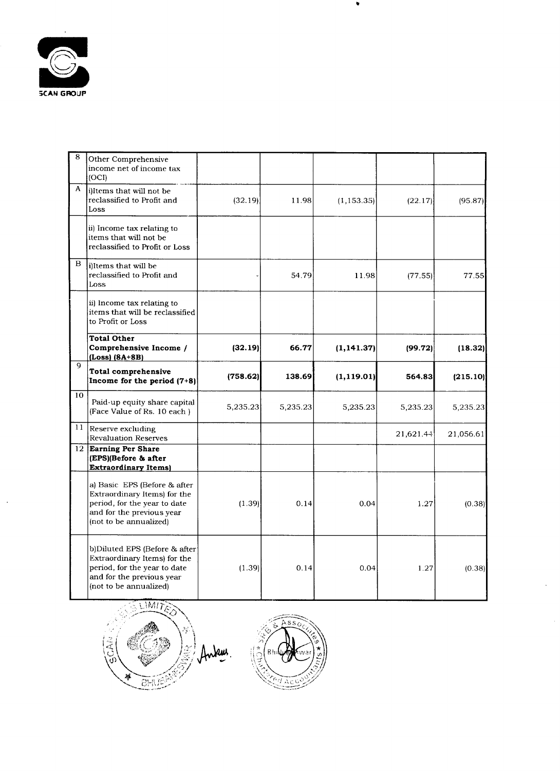

 $\sim 10^{-11}$ 

| -8           | Other Comprehensive<br>income net of income tax<br>(OCI)                                                                                                 |          |          |             |           |           |
|--------------|----------------------------------------------------------------------------------------------------------------------------------------------------------|----------|----------|-------------|-----------|-----------|
| $\mathbf{A}$ | [i] li ems that will not be<br>reclassified to Profit and<br>Loss.                                                                                       | (32.19)  | 11.98    | (1, 153.35) | (22.17)   | (95.87)   |
|              | (ii) Income tax relating to<br>items that will not be<br>reclassified to Profit or Loss                                                                  |          |          |             |           |           |
| $\mathbf{B}$ | i) Items that will be<br>reclassified to Profit and<br>Loss                                                                                              |          | 54.79    | 11.98       | (77.55)   | 77.55     |
|              | ii) Income tax relating to<br>litems that will be reclassified<br>to Profit or Loss                                                                      |          |          |             |           |           |
|              | <b>Total Other</b><br>Comprehensive Income /<br>$ (\text{Loss}) (\text{8A+8B}) $                                                                         | (32.19)  | 66.77    | (1, 141.37) | (99.72)   | (18.32)   |
| 9            | Total comprehensive<br>Income for the period $(7+8)$                                                                                                     | (758.62) | 138.69   | (1, 119.01) | 564.83    | (215.10)  |
| 10           | Paid-up equity share capital<br>(Face Value of Rs. 10 each)                                                                                              | 5,235.23 | 5,235.23 | 5,235.23    | 5,235.23  | 5,235.23  |
| 11           | Reserve excluding<br><b>Revaluation Reserves</b>                                                                                                         |          |          |             | 21,621.44 | 21,056.61 |
|              | 12 Earning Per Share<br>$ $ (EPS)(Before & after<br><b>Extraordinary Items</b>                                                                           |          |          |             |           |           |
|              | a) Basic EPS (Before & after<br>Extraordinary Items) for the<br>period, for the year to date<br>and for the previous year<br>$ $ (not to be annualized)  | (1.39)   | 0.14     | 0.04        | 1.27      | (0.38)    |
|              | b)Diluted EPS (Before & after<br>Extraordinary Items) for the<br>period, for the year to date<br>and for the previous year<br>$ $ (not to be annualized) | (1.39)   | 0.14     | 0.04        | 1.27      | (0.38)    |

 $\bullet$ 

 $\mathbf{x} \in \mathbb{R}$ 

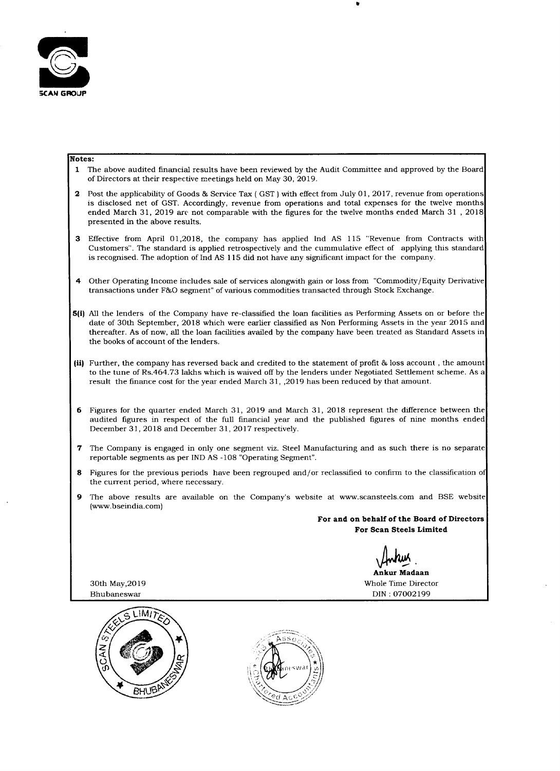

 $\bullet$ 

#### Notes:

- 1 The above audited financial results have been reviewed by the Audit Committee and approved by the Board of Directors at their respective meetings held on May 30, 2019.
- 2 Post the applicability of Goods & Service Tax (  $\operatorname{GST}$  ) with effect from July 01, 2017, revenue from operations is disclosed net of GST. Accordingly, revenue from operations and total expenses for the twelve months ended March 31, 2019 are not comparable with the figures for the twelve months ended March <sup>31</sup> , 2018 presented in the above results.
- Effective from April 01,2018, the company has applied Ind AS 115 "Revenue from Contracts with  $3<sup>1</sup>$ Customers". The standard is applied retrospectively and the cummulative effect of applying this standard is recognised. The adoption of Ind AS 115 did not have any significant impact for the company.
- 4 Other Operating Income includes sale of services alongwith gain or loss from "Commodity/Equity Derivative transactions under F&O segment" of various commodities transacted through Stock Exchange.
- All the lenders of the Company have re-classified the loan facilities as Performing Assets on or before the date of 30th September, 2018 which were earlier classified as Non Performing Assets in the year 2015 and thereafter. As of now, all the loan facilities availed by the company have been treated as Standard Assets in the books of account of the lenders.
- Further, the company has reversed back and credited to the statement of profit & loss account , the amount to the tune of Rs.464.73 lakhs which is waived off by the lenders under Negotiated Settlement scheme. As a result the finance cost for the year ended March 31, ,2019 has been reduced by that amount.
- Figures for the quarter ended March 31, 2019 and March 31, 2018 represent the difference between the audited figures in respect of the full financial year and the published figures of nine months ended December 31, 2018 and December 31, 2017 respectively.
- The Company is engaged in only one segment viz. Steel Manufacturing and as such there is no separate reportable segments as per IND AS -108 "Operating Segment".
- Figures for the previous periods have been regrouped and/or reclassified to confirm to the classification 0 8 the current period, where necessary.
- The above results are available on the Company's website at www.scansteels.com and BSE website 9 (www.bseindia.com)

For and on behalf of the Board of Directors

For Scan Steels Limited

M. Ankur Madaan

30th May,20l9 Whole Time Director

Bhubaneswar DIN : 07002199



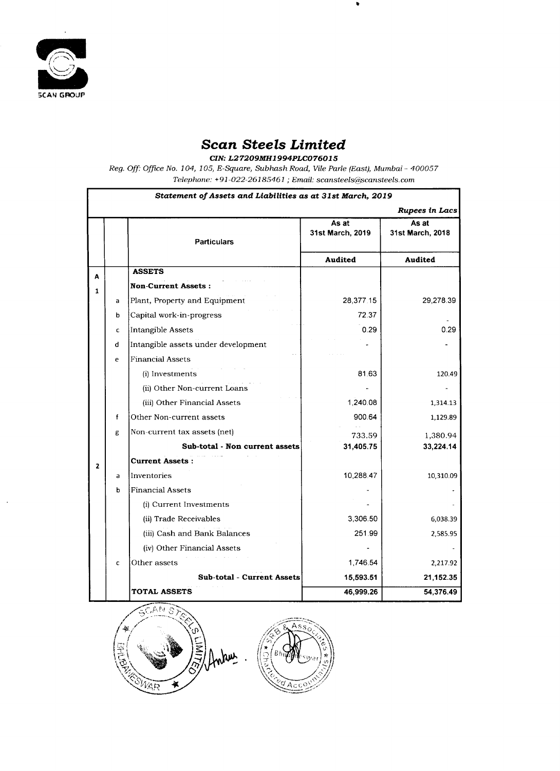

 $\bullet$ 

## Scan Steels Limited

CIN: L27209MH1994PLC076015

Reg. Off: Office No. 104, 105, E-Square, Subhash Road, Vile Parle (East), Mumbai – 400057

Telephone: +91 -022—261 85461 ; Email: scansteels@scansteels. com

 $\bullet$ 

Statement of Assets and Liabilities as at 31st March, 2019

|   |             |                                                |                           | <b>Rupees in Lacs</b>     |  |
|---|-------------|------------------------------------------------|---------------------------|---------------------------|--|
|   |             | <b>Particulars</b>                             | As at<br>31st March, 2019 | As at<br>31st March, 2018 |  |
|   |             |                                                | <b>Audited</b>            | <b>Audited</b>            |  |
| A |             | <b>ASSETS</b>                                  |                           |                           |  |
|   |             | and the state of<br><b>Non-Current Assets:</b> |                           |                           |  |
|   | a           | Plant, Property and Equipment                  | 28,377.15                 | 29,278.39                 |  |
|   | $\mathbf b$ | Capital work-in-progress                       | 72.37                     |                           |  |
|   | C           | Intangible Assets                              | 0.29                      | 0.29                      |  |
|   | d           | Intangible assets under development            |                           |                           |  |
|   | e           | <b>Financial Assets</b>                        |                           |                           |  |
|   |             | (i) Investments                                | 81.63                     | 120.49                    |  |
|   |             | (ii) Other Non-current Loans                   |                           |                           |  |
|   |             | (iii) Other Financial Assets                   | 1,240.08                  | 1,314.13                  |  |
|   |             | Other Non-current assets                       | 900.64                    | 1,129.89                  |  |
|   | g           | Non-current tax assets (net)                   | 733.59                    | 1,380.94                  |  |
|   |             | Sub-total - Non current assets                 | 31,405.75                 | 33,224.14                 |  |
|   |             | <b>Current Assets:</b>                         |                           |                           |  |
|   | a           | Inventories                                    | 10,288.47                 | 10,310.09                 |  |
|   | b           | <b>Financial Assets</b>                        |                           |                           |  |
|   |             | (i) Current Investments                        |                           |                           |  |
|   |             | (ii) Trade Receivables                         | 3,306.50                  | 6,038.39                  |  |
|   |             | (iii) Cash and Bank Balances                   | 251.99                    | 2,585.95                  |  |
|   |             | (iv) Other Financial Assets                    |                           |                           |  |
|   | C           | Other assets                                   | 1,746.54                  | 2,217.92                  |  |
|   |             | Sub-total - Current Assets                     | 15,593.51                 | 21,152.35                 |  |
|   |             | TOTAL.<br>ASSETS                               | $AR$ QQQ $26$             | 54 376 49                 |  |

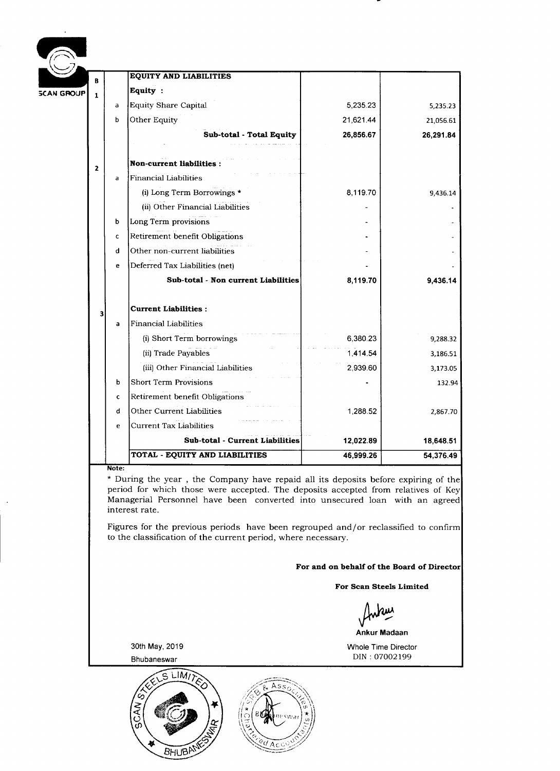| B |                        | <b>EQUITY AND LIABILITIES</b>         |           |           |
|---|------------------------|---------------------------------------|-----------|-----------|
| ┻ |                        | <b>Equity:</b>                        |           |           |
|   | a                      | Equity Share Capital                  | 5,235.23  | 5,235.23  |
|   | b                      | Other Equity                          | 21,621.44 | 21,056.61 |
|   |                        | Sub-total - Total Equity              | 26,856.67 | 26,291.84 |
|   |                        | <b>Non-current liabilities:</b>       |           |           |
|   | a                      | <b>Financial Liabilities</b>          |           |           |
|   |                        | (i) Long Term Borrowings $\star$      | 8,119.70  | 9,436.14  |
|   |                        | (ii) Other Financial Liabilities      |           |           |
|   | b                      | Long Term provisions                  |           |           |
|   | C                      | Retirement benefit Obligations        |           |           |
|   | d                      | Other non-current liabilities         |           |           |
|   | e                      | Deferred Tax Liabilities (net)        |           |           |
|   |                        | Sub-total - Non current Liabilities   | 8,119.70  | 9,436.14  |
|   |                        | Current Liabilities :                 |           |           |
|   | a                      | <b>Financial Liabilities</b>          |           |           |
|   |                        | (i) Short Term borrowings             | 6,380.23  | 9,288.32  |
|   |                        | (ii) Trade Payables                   | 1,414.54  | 3,186.51  |
|   |                        | (iii) Other Financial Liabilities     | 2,939.60  | 3,173.05  |
|   | $\mathbf b$            | <b>Short Term Provisions</b>          |           | 132.94    |
|   | C                      | <b>Retirement benefit Obligations</b> |           |           |
|   | d                      | Other Current Liabilities             | 1,288.52  | 2,867.70  |
|   | e                      | Current Tax Liabilities               |           |           |
|   |                        | Sub-total - Current Liabilities       | 12,022.89 | 18,648.51 |
|   |                        |                                       |           |           |
|   | <b>SCAN GROUP</b><br>Z |                                       |           |           |

 $\sim$ 

 $\mathcal{L}(\mathbf{a})$ 

\* During the year , the Company have repaid all its deposits before expiring of the period for which those were accepted. The deposits accepted from relatives of Key Managerial Personnel have been converted into unsecured loan with an agreed interest rate.

Figures for the previous periods have been regrouped and / or reclassified to confirm to the classification of the current period, where necessary.

For and on behalf of the Board of Director

For Scan Steels Limited